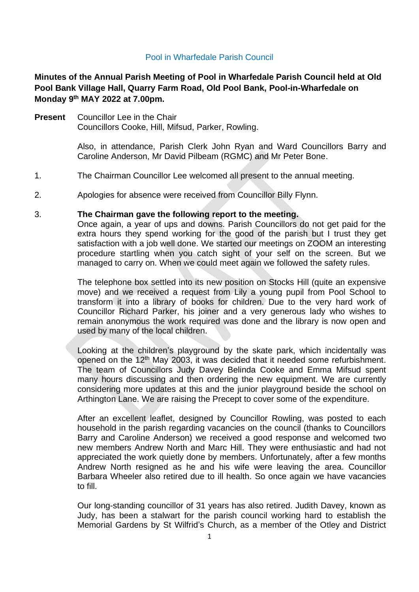# Pool in Wharfedale Parish Council

**Minutes of the Annual Parish Meeting of Pool in Wharfedale Parish Council held at Old Pool Bank Village Hall, Quarry Farm Road, Old Pool Bank, Pool-in-Wharfedale on Monday 9 th MAY 2022 at 7.00pm.** 

**Present** Councillor Lee in the Chair Councillors Cooke, Hill, Mifsud, Parker, Rowling.

> Also, in attendance, Parish Clerk John Ryan and Ward Councillors Barry and Caroline Anderson, Mr David Pilbeam (RGMC) and Mr Peter Bone.

- 1. The Chairman Councillor Lee welcomed all present to the annual meeting.
- 2. Apologies for absence were received from Councillor Billy Flynn.

### 3. **The Chairman gave the following report to the meeting.**

Once again, a year of ups and downs. Parish Councillors do not get paid for the extra hours they spend working for the good of the parish but I trust they get satisfaction with a job well done. We started our meetings on ZOOM an interesting procedure startling when you catch sight of your self on the screen. But we managed to carry on. When we could meet again we followed the safety rules.

The telephone box settled into its new position on Stocks Hill (quite an expensive move) and we received a request from Lily a young pupil from Pool School to transform it into a library of books for children. Due to the very hard work of Councillor Richard Parker, his joiner and a very generous lady who wishes to remain anonymous the work required was done and the library is now open and used by many of the local children.

Looking at the children's playground by the skate park, which incidentally was opened on the 12<sup>th</sup> May 2003, it was decided that it needed some refurbishment. The team of Councillors Judy Davey Belinda Cooke and Emma Mifsud spent many hours discussing and then ordering the new equipment. We are currently considering more updates at this and the junior playground beside the school on Arthington Lane. We are raising the Precept to cover some of the expenditure.

After an excellent leaflet, designed by Councillor Rowling, was posted to each household in the parish regarding vacancies on the council (thanks to Councillors Barry and Caroline Anderson) we received a good response and welcomed two new members Andrew North and Marc Hill. They were enthusiastic and had not appreciated the work quietly done by members. Unfortunately, after a few months Andrew North resigned as he and his wife were leaving the area. Councillor Barbara Wheeler also retired due to ill health. So once again we have vacancies to fill.

Our long-standing councillor of 31 years has also retired. Judith Davey, known as Judy, has been a stalwart for the parish council working hard to establish the Memorial Gardens by St Wilfrid's Church, as a member of the Otley and District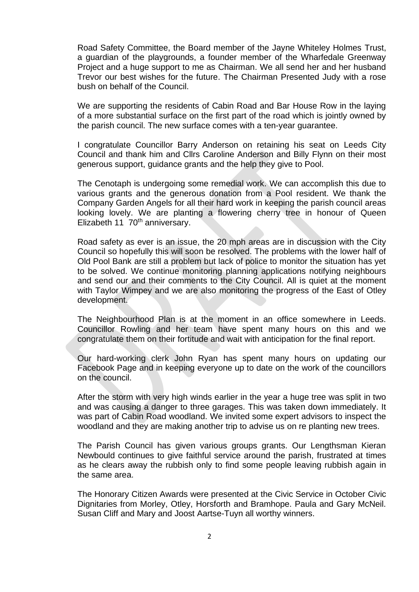Road Safety Committee, the Board member of the Jayne Whiteley Holmes Trust, a guardian of the playgrounds, a founder member of the Wharfedale Greenway Project and a huge support to me as Chairman. We all send her and her husband Trevor our best wishes for the future. The Chairman Presented Judy with a rose bush on behalf of the Council.

We are supporting the residents of Cabin Road and Bar House Row in the laying of a more substantial surface on the first part of the road which is jointly owned by the parish council. The new surface comes with a ten-year guarantee.

I congratulate Councillor Barry Anderson on retaining his seat on Leeds City Council and thank him and Cllrs Caroline Anderson and Billy Flynn on their most generous support, guidance grants and the help they give to Pool.

The Cenotaph is undergoing some remedial work. We can accomplish this due to various grants and the generous donation from a Pool resident. We thank the Company Garden Angels for all their hard work in keeping the parish council areas looking lovely. We are planting a flowering cherry tree in honour of Queen Elizabeth 11 70<sup>th</sup> anniversary.

Road safety as ever is an issue, the 20 mph areas are in discussion with the City Council so hopefully this will soon be resolved. The problems with the lower half of Old Pool Bank are still a problem but lack of police to monitor the situation has yet to be solved. We continue monitoring planning applications notifying neighbours and send our and their comments to the City Council. All is quiet at the moment with Taylor Wimpey and we are also monitoring the progress of the East of Otley development.

The Neighbourhood Plan is at the moment in an office somewhere in Leeds. Councillor Rowling and her team have spent many hours on this and we congratulate them on their fortitude and wait with anticipation for the final report.

Our hard-working clerk John Ryan has spent many hours on updating our Facebook Page and in keeping everyone up to date on the work of the councillors on the council.

After the storm with very high winds earlier in the year a huge tree was split in two and was causing a danger to three garages. This was taken down immediately. It was part of Cabin Road woodland. We invited some expert advisors to inspect the woodland and they are making another trip to advise us on re planting new trees.

The Parish Council has given various groups grants. Our Lengthsman Kieran Newbould continues to give faithful service around the parish, frustrated at times as he clears away the rubbish only to find some people leaving rubbish again in the same area.

The Honorary Citizen Awards were presented at the Civic Service in October Civic Dignitaries from Morley, Otley, Horsforth and Bramhope. Paula and Gary McNeil. Susan Cliff and Mary and Joost Aartse-Tuyn all worthy winners.